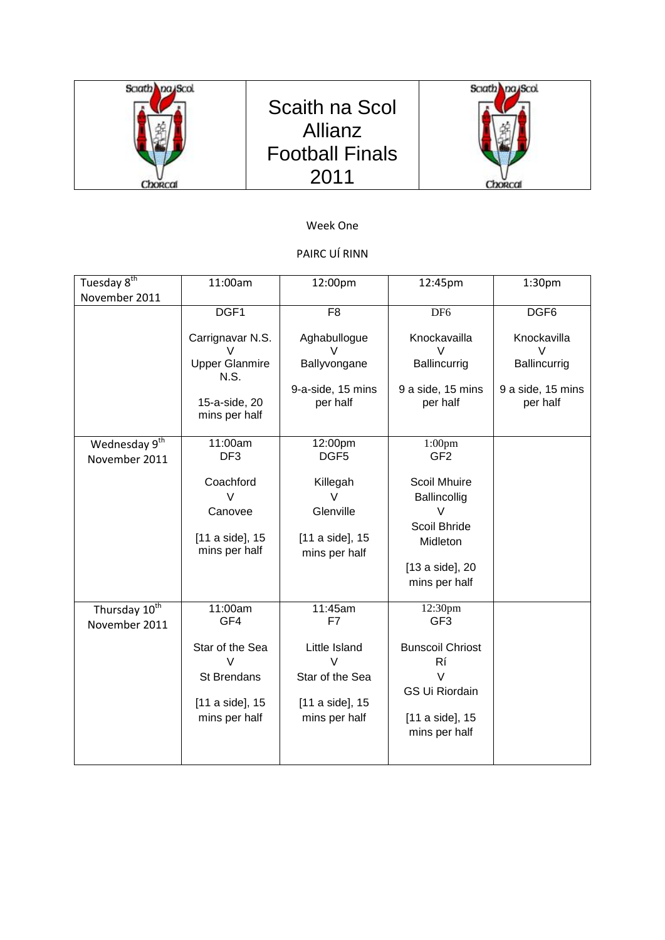

## Week One

# PAIRC UÍ RINN

| Tuesday 8 <sup>th</sup>                    | 11:00am                                                                                     | 12:00pm                                                                                         | 12:45pm                                                                                                                            | 1:30pm                        |
|--------------------------------------------|---------------------------------------------------------------------------------------------|-------------------------------------------------------------------------------------------------|------------------------------------------------------------------------------------------------------------------------------------|-------------------------------|
| November 2011                              |                                                                                             |                                                                                                 |                                                                                                                                    |                               |
|                                            | DGF1                                                                                        | F <sub>8</sub>                                                                                  | DF <sub>6</sub>                                                                                                                    | DGF <sub>6</sub>              |
|                                            | Carrignavar N.S.<br>V                                                                       | Aghabullogue<br>V                                                                               | Knockavailla<br>V                                                                                                                  | Knockavilla<br>V              |
|                                            | <b>Upper Glanmire</b><br>N.S.                                                               | Ballyvongane                                                                                    | Ballincurrig                                                                                                                       | Ballincurrig                  |
|                                            | 15-a-side, 20<br>mins per half                                                              | 9-a-side, 15 mins<br>per half                                                                   | 9 a side, 15 mins<br>per half                                                                                                      | 9 a side, 15 mins<br>per half |
| Wednesday 9 <sup>th</sup><br>November 2011 | 11:00am<br>DF <sub>3</sub>                                                                  | 12:00pm<br>DGF <sub>5</sub>                                                                     | 1:00 <sub>pm</sub><br>GF <sub>2</sub>                                                                                              |                               |
|                                            | Coachford<br>V<br>Canovee<br>[11 a side], 15<br>mins per half                               | Killegah<br>V<br>Glenville<br>[11 a side], 15<br>mins per half                                  | Scoil Mhuire<br>Ballincollig<br>V<br>Scoil Bhride<br>Midleton<br>[13 a side], 20<br>mins per half                                  |                               |
| Thursday 10 <sup>th</sup><br>November 2011 | 11:00am<br>GF4<br>Star of the Sea<br><b>St Brendans</b><br>[11 a side], 15<br>mins per half | 11:45am<br>F7<br>Little Island<br>$\vee$<br>Star of the Sea<br>[11 a side], 15<br>mins per half | 12:30pm<br>GF <sub>3</sub><br><b>Bunscoil Chriost</b><br>Rí<br>$\vee$<br><b>GS Ui Riordain</b><br>[11 a side], 15<br>mins per half |                               |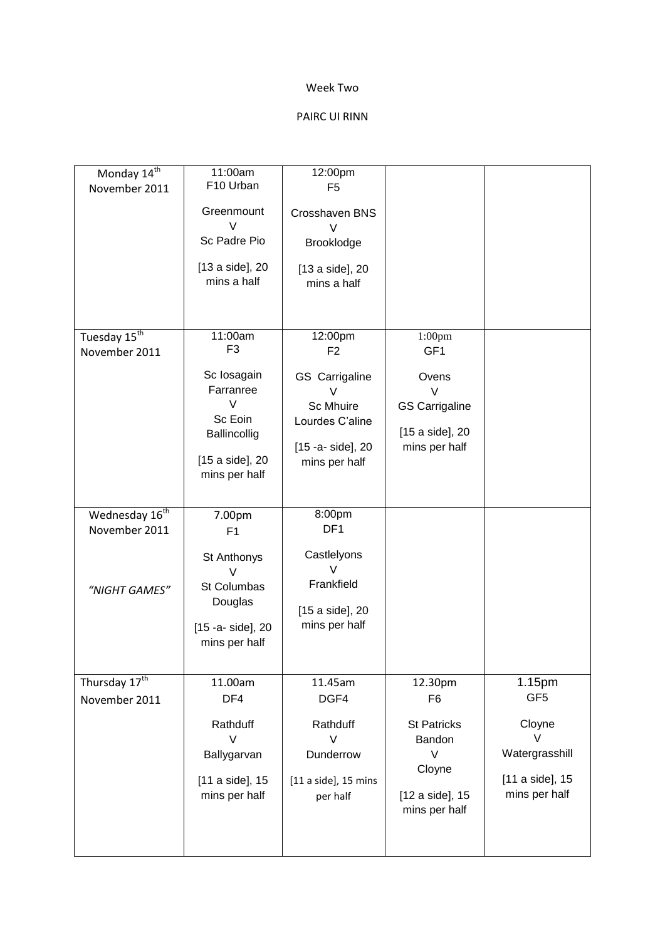### Week Two

### PAIRC UI RINN

| Monday 14th<br>November 2011                                 | 11:00am<br>F10 Urban<br>Greenmount<br>V<br>Sc Padre Pio<br>[13 a side], 20<br>mins a half                                      | 12:00pm<br>F <sub>5</sub><br>Crosshaven BNS<br>$\vee$<br>Brooklodge<br>[13 a side], 20<br>mins a half                         |                                                                                                              |                                                                                                |
|--------------------------------------------------------------|--------------------------------------------------------------------------------------------------------------------------------|-------------------------------------------------------------------------------------------------------------------------------|--------------------------------------------------------------------------------------------------------------|------------------------------------------------------------------------------------------------|
| Tuesday 15 <sup>th</sup><br>November 2011                    | 11:00am<br>F <sub>3</sub><br>Sc Iosagain<br>Farranree<br>$\vee$<br>Sc Eoin<br>Ballincollig<br>[15 a side], 20<br>mins per half | 12:00pm<br>F <sub>2</sub><br>GS Carrigaline<br>V<br><b>Sc Mhuire</b><br>Lourdes C'aline<br>[15 -a- side], 20<br>mins per half | $1:00$ pm<br>GF1<br>Ovens<br>$\vee$<br><b>GS Carrigaline</b><br>[15 a side], 20<br>mins per half             |                                                                                                |
| Wednesday 16 <sup>th</sup><br>November 2011<br>"NIGHT GAMES" | 7.00pm<br>F1<br>St Anthonys<br>V<br>St Columbas<br>Douglas<br>[15 -a- side], 20<br>mins per half                               | 8:00pm<br>DF <sub>1</sub><br>Castlelyons<br>$\vee$<br>Frankfield<br>[15 a side], 20<br>mins per half                          |                                                                                                              |                                                                                                |
| Thursday 17 <sup>th</sup><br>November 2011                   | 11.00am<br>DF4<br>Rathduff<br>$\vee$<br>Ballygarvan<br>[11 a side], 15<br>mins per half                                        | 11.45am<br>DGF4<br>Rathduff<br>$\vee$<br>Dunderrow<br>$[11$ a side], 15 mins<br>per half                                      | 12.30pm<br>F <sub>6</sub><br><b>St Patricks</b><br>Bandon<br>V<br>Cloyne<br>[12 a side], 15<br>mins per half | 1.15pm<br>GF <sub>5</sub><br>Cloyne<br>V<br>Watergrasshill<br>[11 a side], 15<br>mins per half |